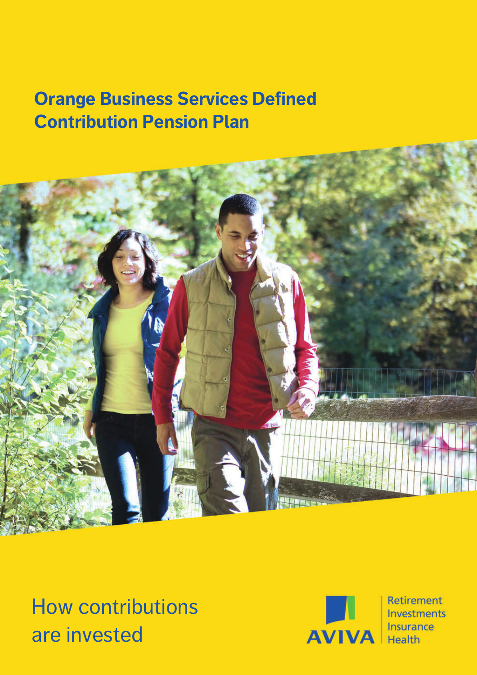# **Orange Business Services Defined Contribution Pension Plan**



How contributions are invested



Retirement **Investments** Insurance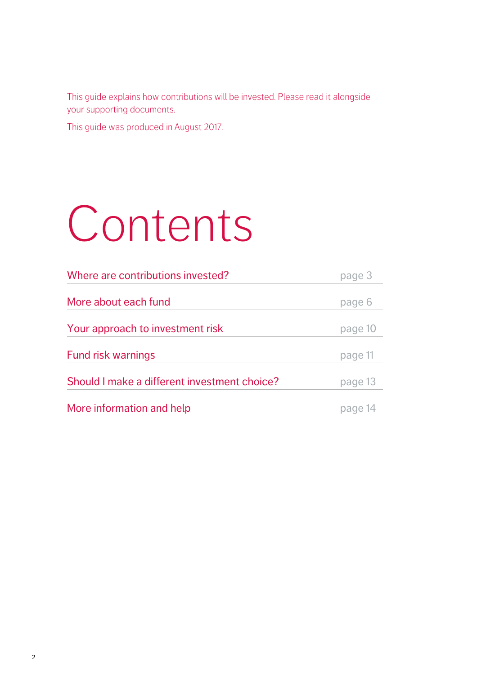This guide explains how contributions will be invested. Please read it alongside your supporting documents.

This guide was produced in August 2017.

# Contents

| Where are contributions invested?            | page 3  |  |  |
|----------------------------------------------|---------|--|--|
|                                              |         |  |  |
| More about each fund                         | page 6  |  |  |
|                                              |         |  |  |
| Your approach to investment risk             | page 10 |  |  |
|                                              |         |  |  |
| <b>Fund risk warnings</b>                    | page 11 |  |  |
| Should I make a different investment choice? |         |  |  |
|                                              | page 13 |  |  |
| More information and help                    | page    |  |  |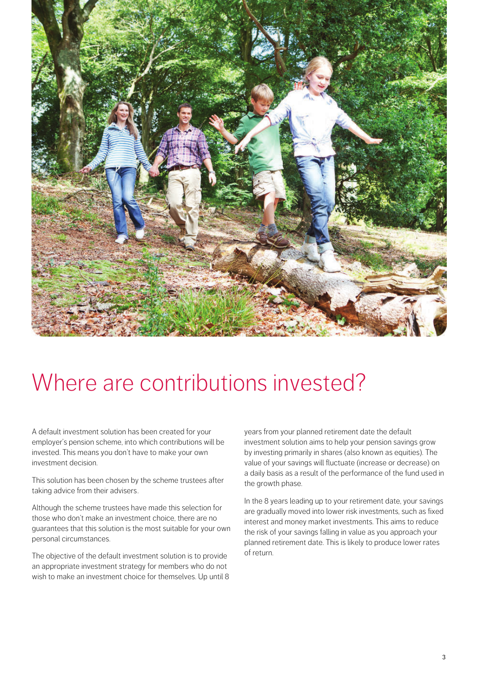

# Where are contributions invested?

A default investment solution has been created for your employer's pension scheme, into which contributions will be invested. This means you don't have to make your own investment decision.

This solution has been chosen by the scheme trustees after taking advice from their advisers.

Although the scheme trustees have made this selection for those who don't make an investment choice, there are no guarantees that this solution is the most suitable for your own personal circumstances.

The objective of the default investment solution is to provide an appropriate investment strategy for members who do not wish to make an investment choice for themselves. Up until 8 years from your planned retirement date the default investment solution aims to help your pension savings grow by investing primarily in shares (also known as equities). The value of your savings will fluctuate (increase or decrease) on a daily basis as a result of the performance of the fund used in the growth phase.

In the 8 years leading up to your retirement date, your savings are gradually moved into lower risk investments, such as fixed interest and money market investments. This aims to reduce the risk of your savings falling in value as you approach your planned retirement date. This is likely to produce lower rates of return.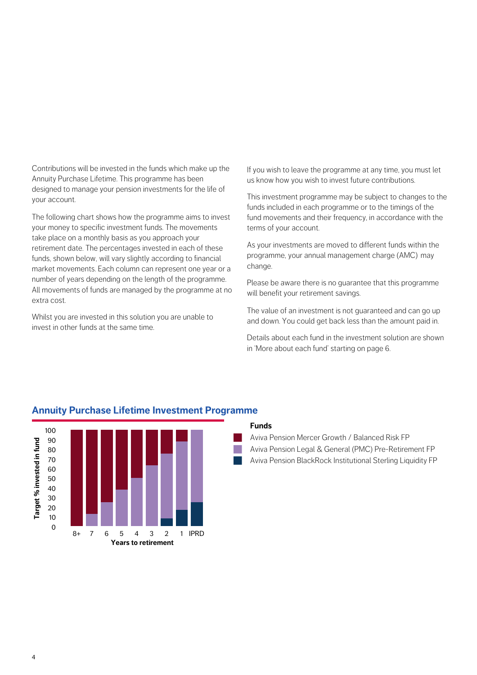Contributions will be invested in the funds which make up the Annuity Purchase Lifetime. This programme has been designed to manage your pension investments for the life of your account.

The following chart shows how the programme aims to invest your money to specific investment funds. The movements take place on a monthly basis as you approach your retirement date. The percentages invested in each of these funds, shown below, will vary slightly according to financial market movements. Each column can represent one year or a number of years depending on the length of the programme. All movements of funds are managed by the programme at no extra cost.

Whilst you are invested in this solution you are unable to invest in other funds at the same time.

If you wish to leave the programme at any time, you must let us know how you wish to invest future contributions.

This investment programme may be subject to changes to the funds included in each programme or to the timings of the fund movements and their frequency, in accordance with the terms of your account.

As your investments are moved to different funds within the programme, your annual management charge (AMC) may change.

Please be aware there is no guarantee that this programme will benefit your retirement savings.

The value of an investment is not guaranteed and can go up and down. You could get back less than the amount paid in.

Details about each fund in the investment solution are shown in 'More about each fund' starting on page 6.



#### **Annuity Purchase Lifetime Investment Programme**

#### **Funds**

n

n

 Aviva Pension Mercer Growth / Balanced Risk FP Aviva Pension Legal & General (PMC) Pre-Retirement FP Aviva Pension BlackRock Institutional Sterling Liquidity FP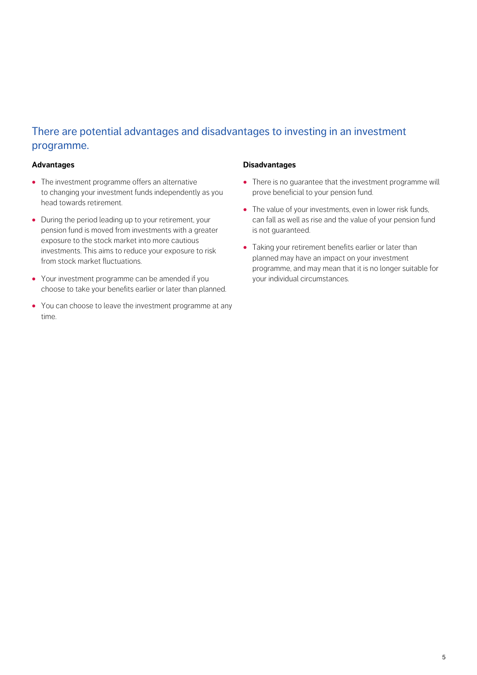#### There are potential advantages and disadvantages to investing in an investment programme.

#### **Advantages**

- **·** The investment programme offers an alternative to changing your investment funds independently as you head towards retirement.
- **·** During the period leading up to your retirement, your pension fund is moved from investments with a greater exposure to the stock market into more cautious investments. This aims to reduce your exposure to risk from stock market fluctuations.
- **·** Your investment programme can be amended if you choose to take your benefits earlier or later than planned.
- **·** You can choose to leave the investment programme at any time.

#### **Disadvantages**

- **·** There is no guarantee that the investment programme will prove beneficial to your pension fund.
- **·** The value of your investments, even in lower risk funds, can fall as well as rise and the value of your pension fund is not guaranteed.
- **·** Taking your retirement benefits earlier or later than planned may have an impact on your investment programme, and may mean that it is no longer suitable for your individual circumstances.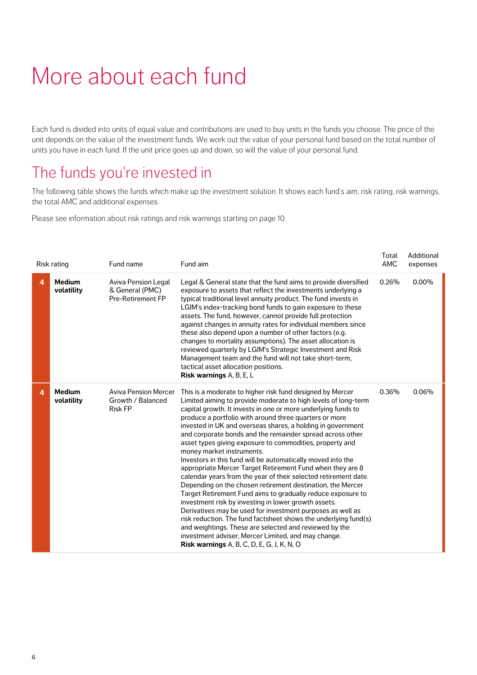# More about each fund

Each fund is divided into units of equal value and contributions are used to buy units in the funds you choose. The price of the unit depends on the value of the investment funds. We work out the value of your personal fund based on the total number of units you have in each fund. If the unit price goes up and down, so will the value of your personal fund.

### The funds you're invested in

The following table shows the funds which make up the investment solution. It shows each fund's aim, risk rating, risk warnings, the total AMC and additional expenses.

Please see information about risk ratings and risk warnings starting on page 10.

|   | Risk rating                 | Fund name                                                          | Fund aim                                                                                                                                                                                                                                                                                                                                                                                                                                                                                                                                                                                                                                                                                                                                                                                                                                                                                                                                                                                                                                                                                                                                                               | Total<br><b>AMC</b> | Additional<br>expenses |
|---|-----------------------------|--------------------------------------------------------------------|------------------------------------------------------------------------------------------------------------------------------------------------------------------------------------------------------------------------------------------------------------------------------------------------------------------------------------------------------------------------------------------------------------------------------------------------------------------------------------------------------------------------------------------------------------------------------------------------------------------------------------------------------------------------------------------------------------------------------------------------------------------------------------------------------------------------------------------------------------------------------------------------------------------------------------------------------------------------------------------------------------------------------------------------------------------------------------------------------------------------------------------------------------------------|---------------------|------------------------|
| 4 | <b>Medium</b><br>volatility | Aviva Pension Legal<br>& General (PMC)<br><b>Pre-Retirement FP</b> | Legal & General state that the fund aims to provide diversified<br>exposure to assets that reflect the investments underlying a<br>typical traditional level annuity product. The fund invests in<br>LGIM's index-tracking bond funds to gain exposure to these<br>assets. The fund, however, cannot provide full protection<br>against changes in annuity rates for individual members since<br>these also depend upon a number of other factors (e.g.<br>changes to mortality assumptions). The asset allocation is<br>reviewed quarterly by LGIM's Strategic Investment and Risk<br>Management team and the fund will not take short-term,<br>tactical asset allocation positions.<br>Risk warnings A, B, E, L                                                                                                                                                                                                                                                                                                                                                                                                                                                      | 0.26%               | 0.00%                  |
| 4 | <b>Medium</b><br>volatility | <b>Aviva Pension Mercer</b><br>Growth / Balanced<br><b>Risk FP</b> | This is a moderate to higher risk fund designed by Mercer<br>Limited aiming to provide moderate to high levels of long-term<br>capital growth. It invests in one or more underlying funds to<br>produce a portfolio with around three quarters or more<br>invested in UK and overseas shares, a holding in government<br>and corporate bonds and the remainder spread across other<br>asset types giving exposure to commodities, property and<br>money market instruments.<br>Investors in this fund will be automatically moved into the<br>appropriate Mercer Target Retirement Fund when they are 8<br>calendar years from the year of their selected retirement date.<br>Depending on the chosen retirement destination, the Mercer<br>Target Retirement Fund aims to gradually reduce exposure to<br>investment risk by investing in lower growth assets.<br>Derivatives may be used for investment purposes as well as<br>risk reduction. The fund factsheet shows the underlying fund(s)<br>and weightings. These are selected and reviewed by the<br>investment adviser, Mercer Limited, and may change.<br><b>Risk warnings</b> A, B, C, D, E, G, J, K, N, O | 0.36%               | 0.06%                  |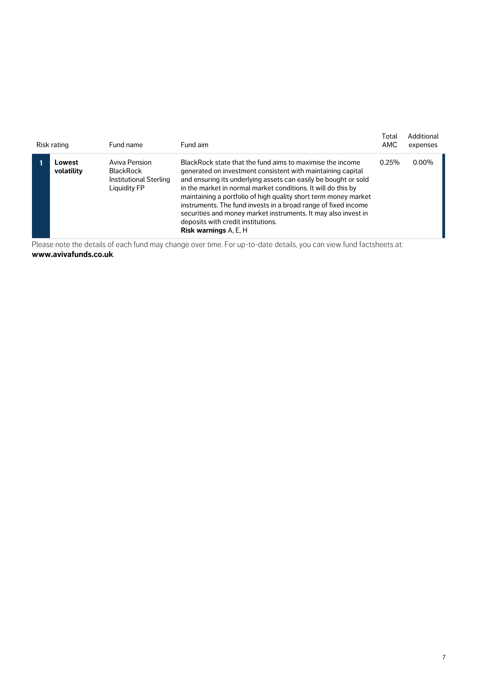| Risk rating          | Fund name                                                                          | Fund aim                                                                                                                                                                                                                                                                                                                                                                                                                                                                                                                                  | Total<br>AMC | Additional<br>expenses |
|----------------------|------------------------------------------------------------------------------------|-------------------------------------------------------------------------------------------------------------------------------------------------------------------------------------------------------------------------------------------------------------------------------------------------------------------------------------------------------------------------------------------------------------------------------------------------------------------------------------------------------------------------------------------|--------------|------------------------|
| Lowest<br>volatility | Aviva Pension<br><b>BlackRock</b><br><b>Institutional Sterling</b><br>Liquidity FP | BlackRock state that the fund aims to maximise the income<br>generated on investment consistent with maintaining capital<br>and ensuring its underlying assets can easily be bought or sold<br>in the market in normal market conditions. It will do this by<br>maintaining a portfolio of high quality short term money market<br>instruments. The fund invests in a broad range of fixed income<br>securities and money market instruments. It may also invest in<br>deposits with credit institutions.<br><b>Risk warnings A, E, H</b> | 0.25%        | 0.00%                  |

Please note the details of each fund may change over time. For up-to-date details, you can view fund factsheets at: **www.avivafunds.co.uk**.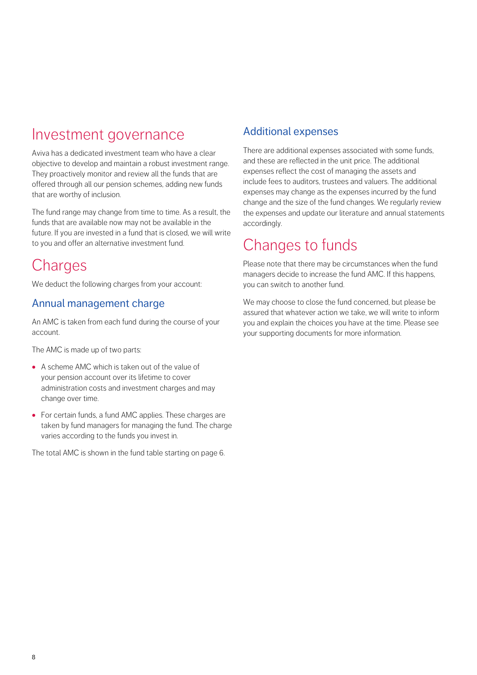### Investment governance

Aviva has a dedicated investment team who have a clear objective to develop and maintain a robust investment range. They proactively monitor and review all the funds that are offered through all our pension schemes, adding new funds that are worthy of inclusion.

The fund range may change from time to time. As a result, the funds that are available now may not be available in the future. If you are invested in a fund that is closed, we will write to you and offer an alternative investment fund.

### **Charges**

We deduct the following charges from your account:

#### Annual management charge

An AMC is taken from each fund during the course of your account.

The AMC is made up of two parts:

- **·** A scheme AMC which is taken out of the value of your pension account over its lifetime to cover administration costs and investment charges and may change over time.
- **·** For certain funds, a fund AMC applies. These charges are taken by fund managers for managing the fund. The charge varies according to the funds you invest in.

The total AMC is shown in the fund table starting on page 6.

#### Additional expenses

There are additional expenses associated with some funds, and these are reflected in the unit price. The additional expenses reflect the cost of managing the assets and include fees to auditors, trustees and valuers. The additional expenses may change as the expenses incurred by the fund change and the size of the fund changes. We regularly review the expenses and update our literature and annual statements accordingly.

### Changes to funds

Please note that there may be circumstances when the fund managers decide to increase the fund AMC. If this happens, you can switch to another fund.

We may choose to close the fund concerned, but please be assured that whatever action we take, we will write to inform you and explain the choices you have at the time. Please see your supporting documents for more information.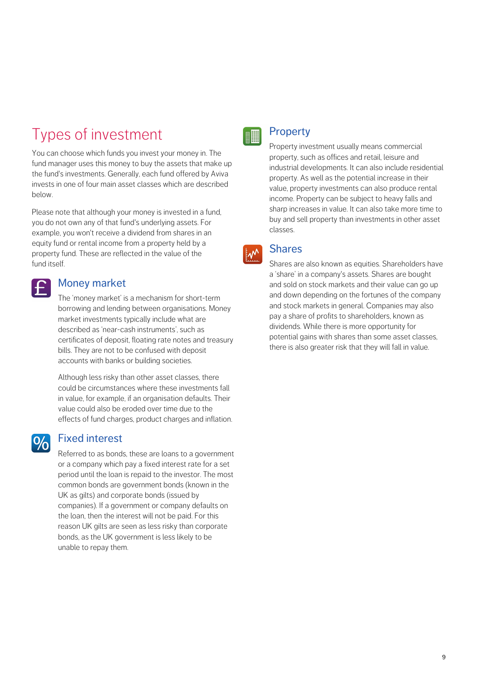## Types of investment

You can choose which funds you invest your money in. The fund manager uses this money to buy the assets that make up the fund's investments. Generally, each fund offered by Aviva invests in one of four main asset classes which are described below.

Please note that although your money is invested in a fund, you do not own any of that fund's underlying assets. For example, you won't receive a dividend from shares in an equity fund or rental income from a property held by a property fund. These are reflected in the value of the fund itself.

#### Money market

 $\vert \boldsymbol{\mathsf{f}} \vert$ 

 $9/6$ 

The 'money market' is a mechanism for short-term borrowing and lending between organisations. Money market investments typically include what are described as 'near-cash instruments', such as certificates of deposit, floating rate notes and treasury bills. They are not to be confused with deposit accounts with banks or building societies.

Although less risky than other asset classes, there could be circumstances where these investments fall in value, for example, if an organisation defaults. Their value could also be eroded over time due to the effects of fund charges, product charges and inflation.

#### Fixed interest

Referred to as bonds, these are loans to a government or a company which pay a fixed interest rate for a set period until the loan is repaid to the investor. The most common bonds are government bonds (known in the UK as gilts) and corporate bonds (issued by companies). If a government or company defaults on the loan, then the interest will not be paid. For this reason UK gilts are seen as less risky than corporate bonds, as the UK government is less likely to be unable to repay them.



#### **Property**

Property investment usually means commercial property, such as offices and retail, leisure and industrial developments. It can also include residential property. As well as the potential increase in their value, property investments can also produce rental income. Property can be subject to heavy falls and sharp increases in value. It can also take more time to buy and sell property than investments in other asset classes.

#### **Shares**  $\mathsf{L} \mathsf{M}$

Shares are also known as equities. Shareholders have a 'share' in a company's assets. Shares are bought and sold on stock markets and their value can go up and down depending on the fortunes of the company and stock markets in general. Companies may also pay a share of profits to shareholders, known as dividends. While there is more opportunity for potential gains with shares than some asset classes, there is also greater risk that they will fall in value.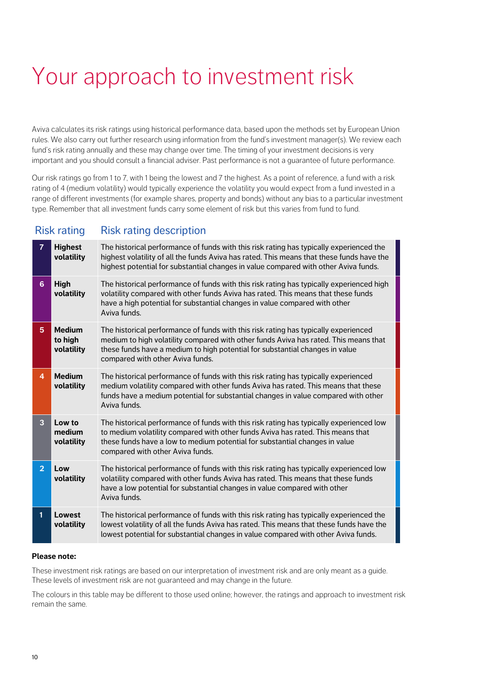# Your approach to investment risk

Aviva calculates its risk ratings using historical performance data, based upon the methods set by European Union rules. We also carry out further research using information from the fund's investment manager(s). We review each fund's risk rating annually and these may change over time. The timing of your investment decisions is very important and you should consult a financial adviser. Past performance is not a guarantee of future performance.

Our risk ratings go from 1 to 7, with 1 being the lowest and 7 the highest. As a point of reference, a fund with a risk rating of 4 (medium volatility) would typically experience the volatility you would expect from a fund invested in a range of different investments (for example shares, property and bonds) without any bias to a particular investment type. Remember that all investment funds carry some element of risk but this varies from fund to fund.

#### Risk rating Risk rating description

| $\overline{7}$ | <b>Highest</b><br>volatility           | The historical performance of funds with this risk rating has typically experienced the<br>highest volatility of all the funds Aviva has rated. This means that these funds have the<br>highest potential for substantial changes in value compared with other Aviva funds.                     |
|----------------|----------------------------------------|-------------------------------------------------------------------------------------------------------------------------------------------------------------------------------------------------------------------------------------------------------------------------------------------------|
| 6 <sup>1</sup> | High<br>volatility                     | The historical performance of funds with this risk rating has typically experienced high<br>volatility compared with other funds Aviva has rated. This means that these funds<br>have a high potential for substantial changes in value compared with other<br>Aviva funds.                     |
| 5              | <b>Medium</b><br>to high<br>volatility | The historical performance of funds with this risk rating has typically experienced<br>medium to high volatility compared with other funds Aviva has rated. This means that<br>these funds have a medium to high potential for substantial changes in value<br>compared with other Aviva funds. |
| 4              | <b>Medium</b><br>volatility            | The historical performance of funds with this risk rating has typically experienced<br>medium volatility compared with other funds Aviva has rated. This means that these<br>funds have a medium potential for substantial changes in value compared with other<br>Aviva funds.                 |
| 3              | Low to<br>medium<br>volatility         | The historical performance of funds with this risk rating has typically experienced low<br>to medium volatility compared with other funds Aviva has rated. This means that<br>these funds have a low to medium potential for substantial changes in value<br>compared with other Aviva funds.   |
| $\overline{2}$ | Low<br>volatility                      | The historical performance of funds with this risk rating has typically experienced low<br>volatility compared with other funds Aviva has rated. This means that these funds<br>have a low potential for substantial changes in value compared with other<br>Aviva funds.                       |
| 1              | Lowest<br>volatility                   | The historical performance of funds with this risk rating has typically experienced the<br>lowest volatility of all the funds Aviva has rated. This means that these funds have the<br>lowest potential for substantial changes in value compared with other Aviva funds.                       |

#### **Please note:**

These investment risk ratings are based on our interpretation of investment risk and are only meant as a guide. These levels of investment risk are not guaranteed and may change in the future.

The colours in this table may be different to those used online; however, the ratings and approach to investment risk remain the same.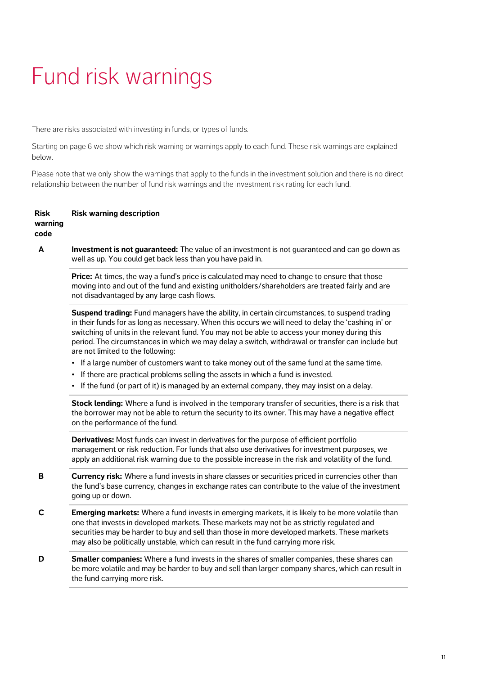# Fund risk warnings

There are risks associated with investing in funds, or types of funds.

below. Starting on page 6 we show which risk warning or warnings apply to each fund. These risk warnings are explained

Please note that we only show the warnings that apply to the funds in the investment solution and there is no direct relationship between the number of fund risk warnings and the investment risk rating for each fund.

#### **Risk warning code Risk warning description**

**A Investment is not guaranteed:** The value of an investment is not guaranteed and can go down as well as up. You could get back less than you have paid in.

**Price:** At times, the way a fund's price is calculated may need to change to ensure that those moving into and out of the fund and existing unitholders/shareholders are treated fairly and are not disadvantaged by any large cash flows.

**Suspend trading:** Fund managers have the ability, in certain circumstances, to suspend trading in their funds for as long as necessary. When this occurs we will need to delay the 'cashing in' or switching of units in the relevant fund. You may not be able to access your money during this period. The circumstances in which we may delay a switch, withdrawal or transfer can include but are not limited to the following:

- **•** If a large number of customers want to take money out of the same fund at the same time.
- **•** If there are practical problems selling the assets in which a fund is invested.
- **•**If the fund (or part of it) is managed by an external company, they may insist on a delay.

**Stock lending:** Where a fund is involved in the temporary transfer of securities, there is a risk that the borrower may not be able to return the security to its owner. This may have a negative effect on the performance of the fund.

**Derivatives:** Most funds can invest in derivatives for the purpose of efficient portfolio management or risk reduction. For funds that also use derivatives for investment purposes, we apply an additional risk warning due to the possible increase in the risk and volatility of the fund.

- **B Currency risk:** Where a fund invests in share classes or securities priced in currencies other than the fund's base currency, changes in exchange rates can contribute to the value of the investment going up or down.
- **C Emerging markets:** Where a fund invests in emerging markets, it is likely to be more volatile than one that invests in developed markets. These markets may not be as strictly regulated and securities may be harder to buy and sell than those in more developed markets. These markets may also be politically unstable, which can result in the fund carrying more risk.
- **D Smaller companies:** Where a fund invests in the shares of smaller companies, these shares can be more volatile and may be harder to buy and sell than larger company shares, which can result in the fund carrying more risk.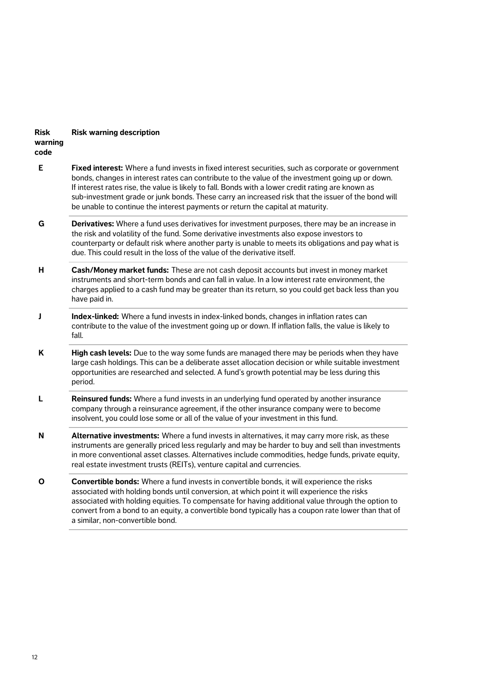#### **Risk warning code Risk warning description**

**E Fixed interest:** Where a fund invests in fixed interest securities, such as corporate or government bonds, changes in interest rates can contribute to the value of the investment going up or down. If interest rates rise, the value is likely to fall. Bonds with a lower credit rating are known as sub-investment grade or junk bonds. These carry an increased risk that the issuer of the bond will be unable to continue the interest payments or return the capital at maturity.

- **G Derivatives:** Where a fund uses derivatives for investment purposes, there may be an increase in the risk and volatility of the fund. Some derivative investments also expose investors to counterparty or default risk where another party is unable to meets its obligations and pay what is due. This could result in the loss of the value of the derivative itself.
- **H Cash/Money market funds:** These are not cash deposit accounts but invest in money market instruments and short-term bonds and can fall in value. In a low interest rate environment, the charges applied to a cash fund may be greater than its return, so you could get back less than you have paid in.
- **J Index-linked:** Where a fund invests in index-linked bonds, changes in inflation rates can contribute to the value of the investment going up or down. If inflation falls, the value is likely to fall.
- **K High cash levels:** Due to the way some funds are managed there may be periods when they have large cash holdings. This can be a deliberate asset allocation decision or while suitable investment opportunities are researched and selected. A fund's growth potential may be less during this period.
- **L Reinsured funds:** Where a fund invests in an underlying fund operated by another insurance company through a reinsurance agreement, if the other insurance company were to become insolvent, you could lose some or all of the value of your investment in this fund.
- **N Alternative investments:** Where a fund invests in alternatives, it may carry more risk, as these instruments are generally priced less regularly and may be harder to buy and sell than investments in more conventional asset classes. Alternatives include commodities, hedge funds, private equity, real estate investment trusts (REITs), venture capital and currencies.
- **O Convertible bonds:** Where a fund invests in convertible bonds, it will experience the risks associated with holding bonds until conversion, at which point it will experience the risks associated with holding equities. To compensate for having additional value through the option to convert from a bond to an equity, a convertible bond typically has a coupon rate lower than that of a similar, non-convertible bond.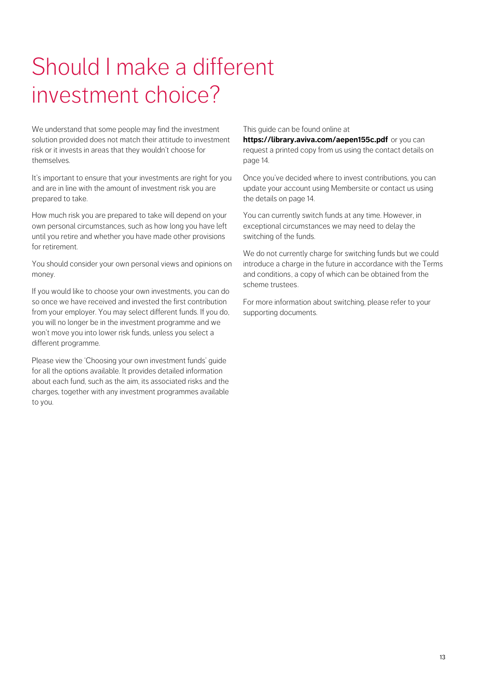# Should I make a different investment choice?

We understand that some people may find the investment solution provided does not match their attitude to investment risk or it invests in areas that they wouldn't choose for themselves.

It's important to ensure that your investments are right for you and are in line with the amount of investment risk you are prepared to take.

How much risk you are prepared to take will depend on your own personal circumstances, such as how long you have left until you retire and whether you have made other provisions for retirement.

You should consider your own personal views and opinions on money.

If you would like to choose your own investments, you can do so once we have received and invested the first contribution from your employer. You may select different funds. If you do, you will no longer be in the investment programme and we won't move you into lower risk funds, unless you select a different programme.

Please view the 'Choosing your own investment funds' guide for all the options available. It provides detailed information about each fund, such as the aim, its associated risks and the charges, together with any investment programmes available to you.

#### This guide can be found online at

**https://library.aviva.com/aepen155c.pdf** or you can request a printed copy from us using the contact details on page 14.

[Once you've decided where to invest contribu](https://library.aviva.com/aepen155c.pdf)tions, you can update your account using Membersite or contact us using the details on page 14.

You can currently switch funds at any time. However, in exceptional circumstances we may need to delay the switching of the funds.

We do not currently charge for switching funds but we could introduce a charge in the future in accordance with the Terms and conditions, a copy of which can be obtained from the scheme trustees.

For more information about switching, please refer to your supporting documents.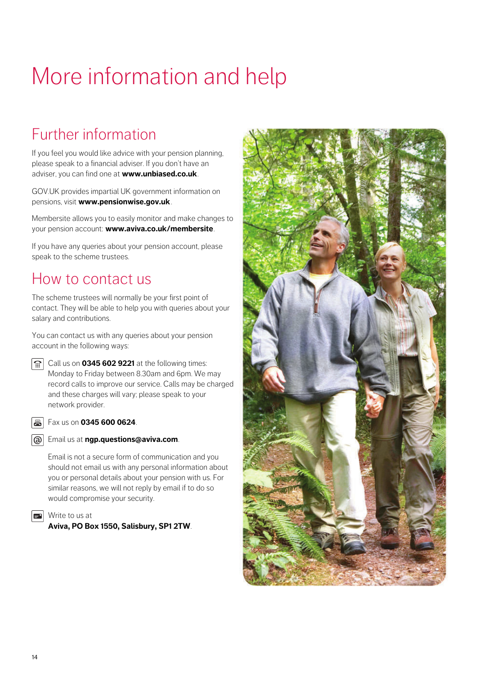# More information and help

## Further information

If you feel you would like advice with your pension planning, please speak to a financial adviser. If you don't have an adviser, you can find one at **www.unbiased.co.uk**.

GOV.UK provides impartial UK government information on pensions, visit **www.pensionwise.gov.uk**.

Membersite allows you to easily monitor and make changes to your pension account: **www.aviva.co.uk/membersite**.

If you have any queries about your pension account, please speak to the scheme trustees.

### How to contact us

The scheme trustees will normally be your first point of contact. They will be able to help you with queries about your salary and contributions.

You can contact us with any queries about your pension account in the following ways:

**Call us on 0345 602 9221** at the following times: Monday to Friday between 8.30am and 6pm. We may record calls to improve our service. Calls may be charged and these charges will vary; please speak to your network provider.

#### **B** Fax us on **0345 600 0624**.



Email is not a secure form of communication and you should not email us with any personal information about you or personal details about your pension with us. For similar reasons, we will not reply by email if to do so would compromise your security.

**N**rite to us at

**Aviva, PO Box 1550, Salisbury, SP1 2TW**.